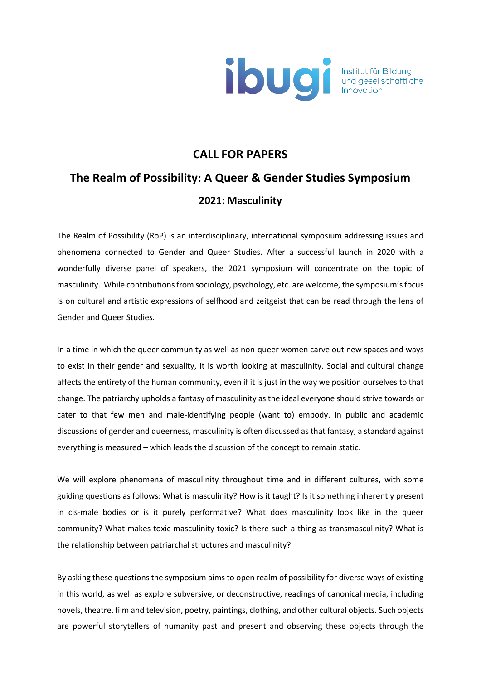

## **CALL FOR PAPERS**

## **The Realm of Possibility: A Queer & Gender Studies Symposium 2021: Masculinity**

The Realm of Possibility (RoP) is an interdisciplinary, international symposium addressing issues and phenomena connected to Gender and Queer Studies. After a successful launch in 2020 with a wonderfully diverse panel of speakers, the 2021 symposium will concentrate on the topic of masculinity. While contributions from sociology, psychology, etc. are welcome, the symposium's focus is on cultural and artistic expressions of selfhood and zeitgeist that can be read through the lens of Gender and Queer Studies.

In a time in which the queer community as well as non-queer women carve out new spaces and ways to exist in their gender and sexuality, it is worth looking at masculinity. Social and cultural change affects the entirety of the human community, even if it is just in the way we position ourselves to that change. The patriarchy upholds a fantasy of masculinity as the ideal everyone should strive towards or cater to that few men and male-identifying people (want to) embody. In public and academic discussions of gender and queerness, masculinity is often discussed as that fantasy, a standard against everything is measured – which leads the discussion of the concept to remain static.

We will explore phenomena of masculinity throughout time and in different cultures, with some guiding questions as follows: What is masculinity? How is it taught? Is it something inherently present in cis-male bodies or is it purely performative? What does masculinity look like in the queer community? What makes toxic masculinity toxic? Is there such a thing as transmasculinity? What is the relationship between patriarchal structures and masculinity?

By asking these questions the symposium aims to open realm of possibility for diverse ways of existing in this world, as well as explore subversive, or deconstructive, readings of canonical media, including novels, theatre, film and television, poetry, paintings, clothing, and other cultural objects. Such objects are powerful storytellers of humanity past and present and observing these objects through the